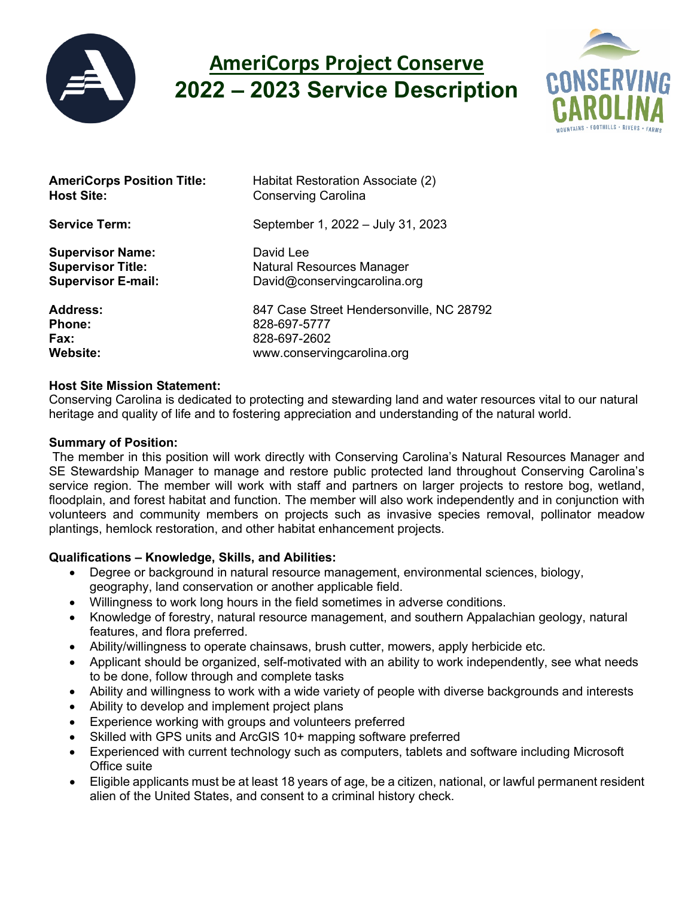

# **AmeriCorps Project Conserve 2022 – 2023 Service Description**



| <b>AmeriCorps Position Title:</b> | Habitat Restoration Associate (2)        |
|-----------------------------------|------------------------------------------|
| <b>Host Site:</b>                 | <b>Conserving Carolina</b>               |
| <b>Service Term:</b>              | September 1, 2022 - July 31, 2023        |
| <b>Supervisor Name:</b>           | David Lee                                |
| <b>Supervisor Title:</b>          | <b>Natural Resources Manager</b>         |
| <b>Supervisor E-mail:</b>         | David@conservingcarolina.org             |
| <b>Address:</b>                   | 847 Case Street Hendersonville, NC 28792 |
| <b>Phone:</b>                     | 828-697-5777                             |
| Fax:                              | 828-697-2602                             |
| <b>Website:</b>                   | www.conservingcarolina.org               |

### **Host Site Mission Statement:**

Conserving Carolina is dedicated to protecting and stewarding land and water resources vital to our natural heritage and quality of life and to fostering appreciation and understanding of the natural world.

## **Summary of Position:**

The member in this position will work directly with Conserving Carolina's Natural Resources Manager and SE Stewardship Manager to manage and restore public protected land throughout Conserving Carolina's service region. The member will work with staff and partners on larger projects to restore bog, wetland, floodplain, and forest habitat and function. The member will also work independently and in conjunction with volunteers and community members on projects such as invasive species removal, pollinator meadow plantings, hemlock restoration, and other habitat enhancement projects.

# **Qualifications – Knowledge, Skills, and Abilities:**

- Degree or background in natural resource management, environmental sciences, biology, geography, land conservation or another applicable field.
- Willingness to work long hours in the field sometimes in adverse conditions.
- Knowledge of forestry, natural resource management, and southern Appalachian geology, natural features, and flora preferred.
- Ability/willingness to operate chainsaws, brush cutter, mowers, apply herbicide etc.
- Applicant should be organized, self-motivated with an ability to work independently, see what needs to be done, follow through and complete tasks
- Ability and willingness to work with a wide variety of people with diverse backgrounds and interests
- Ability to develop and implement project plans
- Experience working with groups and volunteers preferred
- Skilled with GPS units and ArcGIS 10+ mapping software preferred
- Experienced with current technology such as computers, tablets and software including Microsoft Office suite
- Eligible applicants must be at least 18 years of age, be a citizen, national, or lawful permanent resident alien of the United States, and consent to a criminal history check.